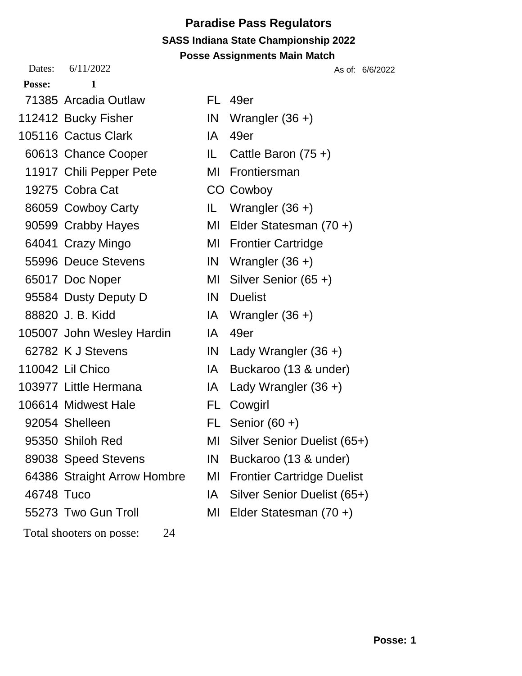# **Paradise Pass Regulators SASS Indiana State Championship 2022**

**Posse: 1** 71385 Arcadia Outlaw FL 49er 112412 Bucky Fisher **IN** Wrangler (36 +) 105116 Cactus Clark **IA** 49er 60613 Chance Cooper IL Cattle Baron (75 +) 11917 Chili Pepper Pete MI Frontiersman 19275 Cobra Cat CO Cowboy 86059 Cowboy Carty IL Wrangler (36 +) 90599 Crabby Hayes MI Elder Statesman (70 +) 64041 Crazy Mingo MI Frontier Cartridge 55996 Deuce Stevens IN Wrangler (36 +) 65017 Doc Noper MI Silver Senior (65 +) 95584 Dusty Deputy D IN Duelist 88820 J. B. Kidd IA Wrangler (36 +) 105007 John Wesley Hardin IA 49er 62782 K J Stevens IN Lady Wrangler (36 +) 110042 Lil Chico IA Buckaroo (13 & under) 103977 Little Hermana IA Lady Wrangler (36 +) 106614 Midwest Hale FL Cowgirl 92054 Shelleen FL Senior (60 +) 89038 Speed Stevens IN Buckaroo (13 & under) 46748 Tuco IA Silver Senior Duelist (65+) 55273 Two Gun Troll MI Elder Statesman (70 +)

Total shooters on posse: 24

**Posse Assignments Main Match** Dates: 6/11/2022 As of: 6/6/2022 95350 Shiloh Red MI Silver Senior Duelist (65+) 64386 Straight Arrow Hombre MI Frontier Cartridge Duelist

- 
-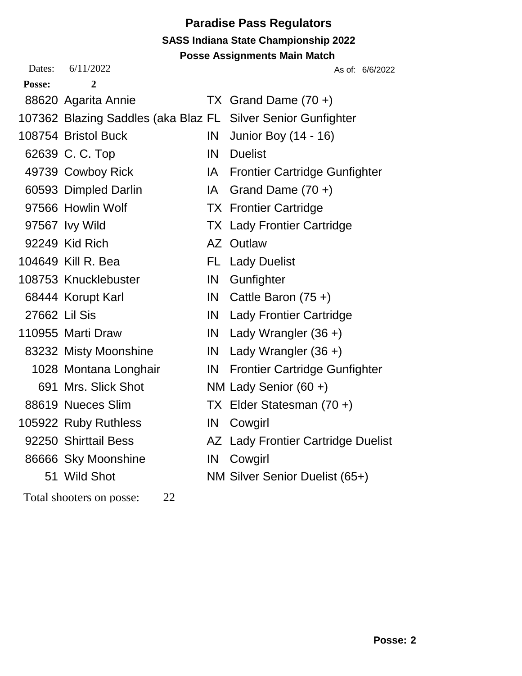# **Paradise Pass Regulators SASS Indiana State Championship 2022**

**Posse Assignments Main Match**

| Dates: | 6/11/2022                                                    |      | As of: 6/6/2022                      |
|--------|--------------------------------------------------------------|------|--------------------------------------|
| Posse: | 2                                                            |      |                                      |
|        | 88620 Agarita Annie                                          |      | TX Grand Dame $(70 +)$               |
|        | 107362 Blazing Saddles (aka Blaz FL Silver Senior Gunfighter |      |                                      |
|        | 108754 Bristol Buck                                          | IN   | Junior Boy (14 - 16)                 |
|        | 62639 C. C. Top                                              | IN   | <b>Duelist</b>                       |
|        | 49739 Cowboy Rick                                            | IA.  | <b>Frontier Cartridge Gunfighter</b> |
|        | 60593 Dimpled Darlin                                         | IA I | Grand Dame $(70 +)$                  |
|        | 97566 Howlin Wolf                                            |      | <b>TX</b> Frontier Cartridge         |
|        | 97567 Ivy Wild                                               |      | <b>TX Lady Frontier Cartridge</b>    |
|        | 92249 Kid Rich                                               |      | AZ Outlaw                            |
|        | 104649 Kill R. Bea                                           |      | <b>FL</b> Lady Duelist               |
|        | 108753 Knucklebuster                                         | IN.  | Gunfighter                           |
|        | 68444 Korupt Karl                                            |      | IN Cattle Baron $(75 +)$             |
|        | 27662 Lil Sis                                                |      | <b>IN</b> Lady Frontier Cartridge    |
|        | 110955 Marti Draw                                            |      | IN Lady Wrangler $(36 +)$            |
|        | 83232 Misty Moonshine                                        |      | IN Lady Wrangler $(36 +)$            |
|        | 1028 Montana Longhair                                        | IN   | <b>Frontier Cartridge Gunfighter</b> |
|        | 691 Mrs. Slick Shot                                          |      | NM Lady Senior (60 +)                |
|        | 88619 Nueces Slim                                            |      | TX Elder Statesman (70 +)            |
|        | 105922 Ruby Ruthless                                         | IN   | Cowgirl                              |
|        | 92250 Shirttail Bess                                         |      | AZ Lady Frontier Cartridge Duelist   |
|        | 86666 Sky Moonshine                                          |      | IN Cowgirl                           |
|        | 51 Wild Shot                                                 |      | NM Silver Senior Duelist (65+)       |
|        | 22<br>Total shooters on posse:                               |      |                                      |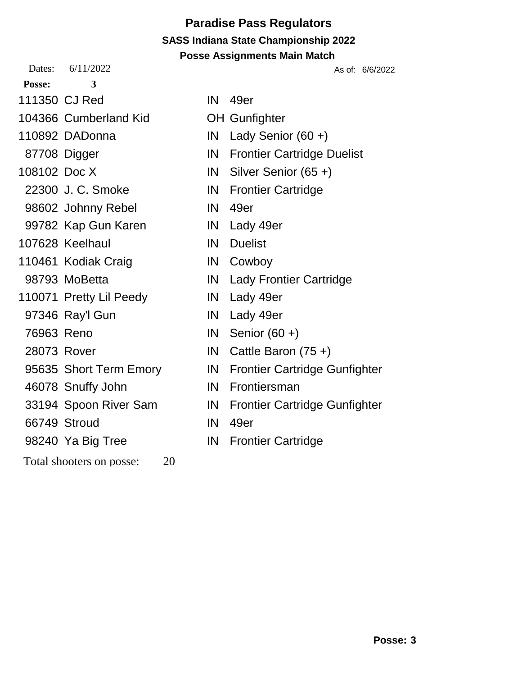Dates: 6/11/2022 As of: 6/6/2022 **Posse: 3** 111350 CJ Red IN 49er

104366 Cumberland Kid OH Gunfighter

110892 DADonna IN Lady Senior (60 +)

- 
- 
- 
- 98602 Johnny Rebel IN 49er
- 99782 Kap Gun Karen IN Lady 49er

107628 Keelhaul **IN Duelist** 

- 110461 Kodiak Craig **IN Cowboy**
- 
- 110071 Pretty Lil Peedy **IN** Lady 49er
- 97346 Ray'l Gun IN Lady 49er
- 
- 
- 
- 46078 Snuffy John IN Frontiersman
- 
- 66749 Stroud IN 49er
- 

Total shooters on posse: 20

- -
- 87708 Digger **IN** Frontier Cartridge Duelist
- 108102 Doc X **IN** Silver Senior (65 +)
	- 22300 J. C. Smoke IN Frontier Cartridge
		-
		-
		-
		-
	- 98793 MoBetta **IN Lady Frontier Cartridge** 
		-
		-
	- 76963 Reno IN Senior (60 +)
	- 28073 Rover IN Cattle Baron (75 +)
- 95635 Short Term Emory **IN** Frontier Cartridge Gunfighter
	-
- 33194 Spoon River Sam IN Frontier Cartridge Gunfighter
	-
- 98240 Ya Big Tree **IN** Frontier Cartridge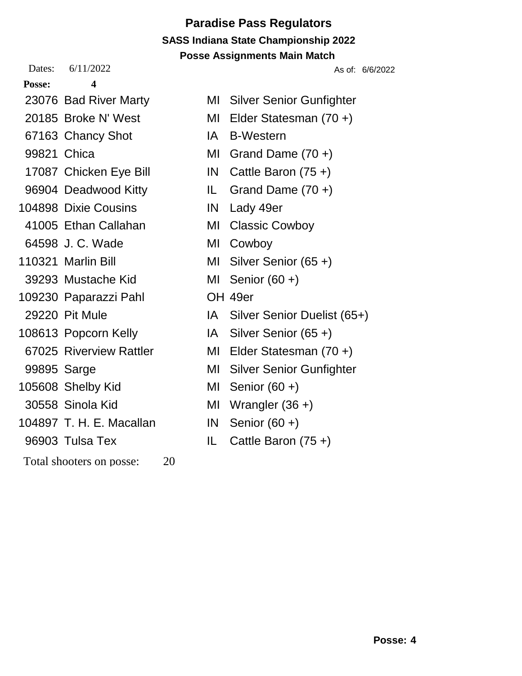Dates: 6/11/2022 As of: 6/6/2022

- **Posse: 4**
- 
- 
- 67163 Chancy Shot IA B-Western
- 
- 
- 
- 104898 Dixie Cousins IN Lady 49er
- 41005 Ethan Callahan MI Classic Cowboy
- 64598 J.C. Wade MI Cowboy
- 
- 39293 Mustache Kid MI Senior (60 +)
- 109230 Paparazzi Pahl OH 49er
	-
- 
- 
- 
- 105608 Shelby Kid MI Senior (60 +)
- 
- 104897 T. H. E. Macallan IN Senior (60 +)
- 
- Total shooters on posse: 20
- 
- 23076 Bad River Marty MI Silver Senior Gunfighter 20185 Broke N' West MI Elder Statesman (70 +) 99821 Chica MI Grand Dame (70 +) 17087 Chicken Eye Bill IN Cattle Baron (75 +) 96904 Deadwood Kitty **IL** Grand Dame (70 +)
	-
	-
- 110321 Marlin Bill MI Silver Senior (65 +)
	-
	-
- 29220 Pit Mule IA Silver Senior Duelist (65+)
- 108613 Popcorn Kelly **IA** Silver Senior (65 +)
- 67025 Riverview Rattler MI Elder Statesman (70 +)
- 99895 Sarge MI Silver Senior Gunfighter
	-
- 30558 Sinola Kid MI Wrangler (36 +)
	-
- 96903 Tulsa Tex IL Cattle Baron (75 +)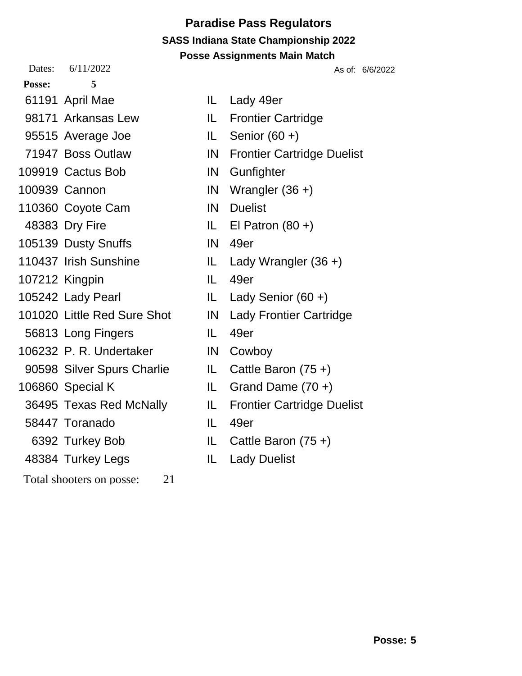Dates: 6/11/2022 As of: 6/6/2022

- **Posse: 5**
- 
- 98171 Arkansas Lew IL Frontier Cartridge
- 95515 Average Joe IL Senior (60 +)
- 
- 109919 Cactus Bob **IN** Gunfighter
- 
- 110360 Covote Cam IN Duelist
- 
- 105139 Dusty Snuffs **IN** 49er
- 
- 107212 Kingpin IL 49er
- 
- 101020 Little Red Sure Shot IN Lady Frontier Cartridge
- 
- 106232 P. R. Undertaker IN Cowboy
- 90598 Silver Spurs Charlie IL Cattle Baron (75 +)
- 
- 
- 
- 
- 48384 Turkey Legs IL Lady Duelist
- Total shooters on posse: 21
- 
- 61191 April Mae IL Lady 49er
	-
	-
- 71947 Boss Outlaw IN Frontier Cartridge Duelist
	-
- 100939 Cannon IN Wrangler (36 +)
	-
- 48383 Dry Fire IL El Patron (80 +)
	-
- 110437 Irish Sunshine IL Lady Wrangler (36 +)
	-
- 105242 Lady Pearl IL Lady Senior (60 +)
	-
	-
	-
	-
	-
	- 36495 Texas Red McNally IL Frontier Cartridge Duelist
		-
		- 6392 Turkey Bob IL Cattle Baron (75 +)
			-

56813 Long Fingers IL 49er 106860 Special K IL Grand Dame (70 +) 58447 Toranado IL 49er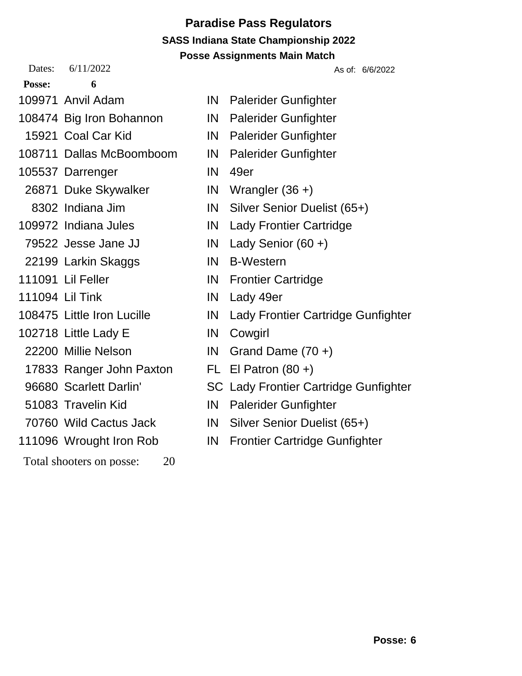Dates: 6/11/2022 As of: 6/6/2022

**Posse: 6**

- 
- 108474 Big Iron Bohannon IN Palerider Gunfighter
- 
- 108711 Dallas McBoomboom IN Palerider Gunfighter
- 105537 Darrenger IN 49er
- 26871 Duke Skywalker IN Wrangler (36 +)
- 
- 
- 
- 22199 Larkin Skaggs March 1N B-Western
- 
- 111094 Lil Tink IN Lady 49er
- 
- 102718 Little Lady E IN Cowgirl
- 
- 17833 Ranger John Paxton FL El Patron (80 +)
- 
- 
- 
- 
- Total shooters on posse: 20
- 109971 Anvil Adam **IN** Palerider Gunfighter
	-
	- 15921 Coal Car Kid **IN** Palerider Gunfighter
		-
		-
		-
		- 8302 Indiana Jim IN Silver Senior Duelist (65+)
- 109972 Indiana Jules **IN Lady Frontier Cartridge**
- 79522 Jesse Jane JJ IN Lady Senior (60 +)
	-
- 111091 Lil Feller **IN** Frontier Cartridge
	-
- 108475 Little Iron Lucille **IN** Lady Frontier Cartridge Gunfighter
	-
- 22200 Millie Nelson IN Grand Dame (70 +)
	-
- 96680 Scarlett Darlin' SC Lady Frontier Cartridge Gunfighter
- 51083 Travelin Kid **IN** Palerider Gunfighter
- 70760 Wild Cactus Jack IN Silver Senior Duelist (65+)
- 111096 Wrought Iron Rob IN Frontier Cartridge Gunfighter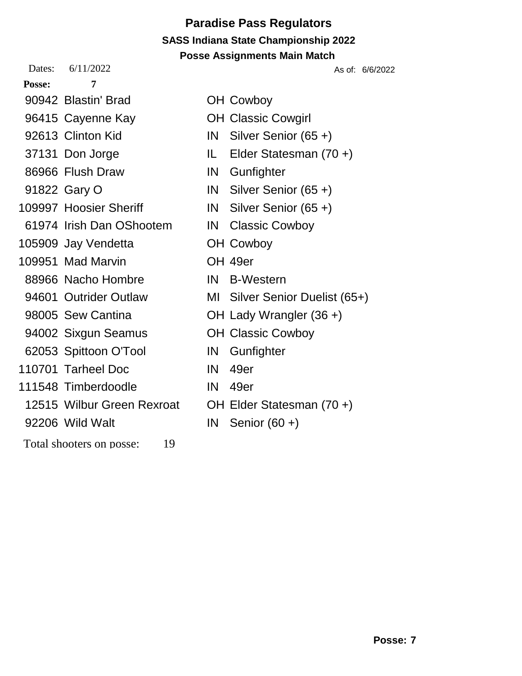Dates: 6/11/2022 As of: 6/6/2022

| <b>Posse:</b> |  |
|---------------|--|
|               |  |

- 90942 Blastin' Brad OH Cowboy
- 96415 Cayenne Kay **OH Classic Cowgirl**
- 
- 
- 86966 Flush Draw IN Gunfighter
- 
- 109997 Hoosier Sheriff IN Silver Senior (65 +)
- 61974 Irish Dan OShootem IN Classic Cowboy
- 105909 Jay Vendetta OH Cowboy
- 109951 Mad Marvin OH 49er
- 88966 Nacho Hombre IN B-Western
- 
- 
- 
- 62053 Spittoon O'Tool IN Gunfighter
- 110701 Tarheel Doc **IN 49er**
- 111548 Timberdoodle IN 49er
- 12515 Wilbur Green Rexroat OH Elder Statesman (70 +)
- 92206 Wild Walt **IN** Senior (60 +)
- Total shooters on posse: 19
- 
- 92613 Clinton Kid **IN** Silver Senior (65 +)
- 37131 Don Jorge IL Elder Statesman (70 +)
	-
- 91822 Gary O **IN** Silver Senior (65 +)
	-
	-
	-
	-
	-
- 94601 Outrider Outlaw MI Silver Senior Duelist (65+)
- 98005 Sew Cantina **OH Lady Wrangler (36 +)**
- 94002 Sixgun Seamus **OH Classic Cowboy** 
	-
	-
	-
	-
	-